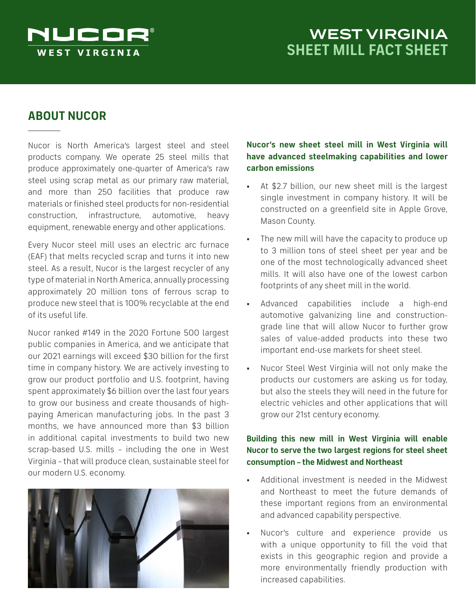

# WEST VIRGINIA **SHEET MILL FACT SHEET**

# **ABOUT NUCOR**

Nucor is North America's largest steel and steel products company. We operate 25 steel mills that produce approximately one-quarter of America's raw steel using scrap metal as our primary raw material, and more than 250 facilities that produce raw materials or finished steel products for non-residential construction, infrastructure, automotive, heavy equipment, renewable energy and other applications.

Every Nucor steel mill uses an electric arc furnace (EAF) that melts recycled scrap and turns it into new steel. As a result, Nucor is the largest recycler of any type of material in North America, annually processing approximately 20 million tons of ferrous scrap to produce new steel that is 100% recyclable at the end of its useful life.

Nucor ranked #149 in the 2020 Fortune 500 largest public companies in America, and we anticipate that our 2021 earnings will exceed \$30 billion for the first time in company history. We are actively investing to grow our product portfolio and U.S. footprint, having spent approximately \$6 billion over the last four years to grow our business and create thousands of highpaying American manufacturing jobs. In the past 3 months, we have announced more than \$3 billion in additional capital investments to build two new scrap-based U.S. mills – including the one in West Virginia – that will produce clean, sustainable steel for our modern U.S. economy.



## **Nucor's new sheet steel mill in West Virginia will have advanced steelmaking capabilities and lower carbon emissions**

- At \$2.7 billion, our new sheet mill is the largest single investment in company history. It will be constructed on a greenfield site in Apple Grove, Mason County.
- The new mill will have the capacity to produce up to 3 million tons of steel sheet per year and be one of the most technologically advanced sheet mills. It will also have one of the lowest carbon footprints of any sheet mill in the world.
- Advanced capabilities include a high-end automotive galvanizing line and constructiongrade line that will allow Nucor to further grow sales of value-added products into these two important end-use markets for sheet steel.
- Nucor Steel West Virginia will not only make the products our customers are asking us for today, but also the steels they will need in the future for electric vehicles and other applications that will grow our 21st century economy.

### **Building this new mill in West Virginia will enable Nucor to serve the two largest regions for steel sheet consumption – the Midwest and Northeast**

- Additional investment is needed in the Midwest and Northeast to meet the future demands of these important regions from an environmental and advanced capability perspective.
- Nucor's culture and experience provide us with a unique opportunity to fill the void that exists in this geographic region and provide a more environmentally friendly production with increased capabilities.